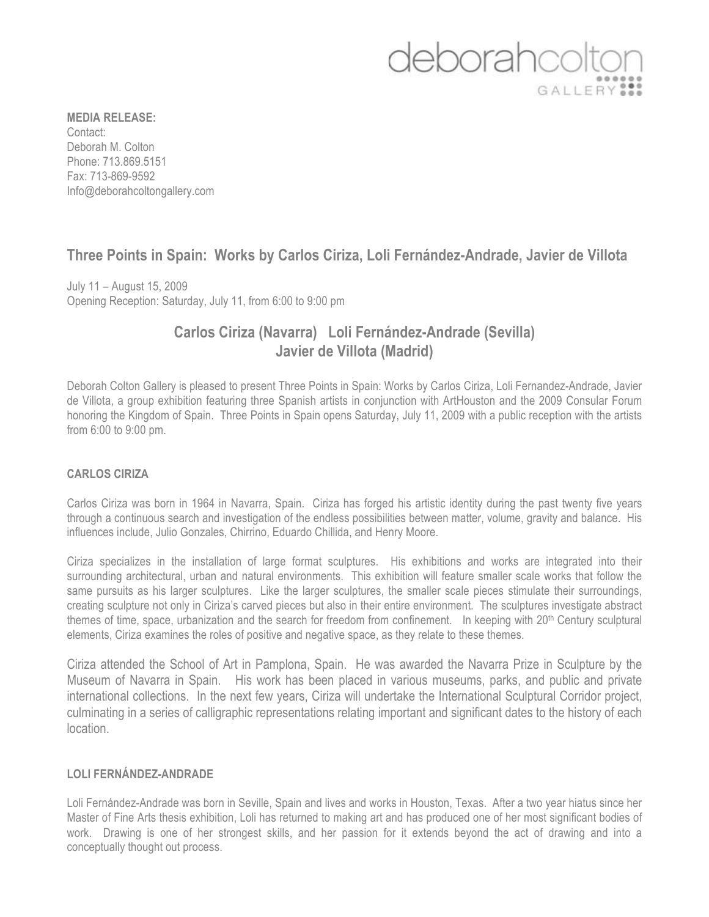# deborahc GALLERY<sup>99</sup>

**MEDIA RELEASE:** Contact: Deborah M. Colton Phone: 713.869.5151 Fax: 713-869-9592 Info@deborahcoltongallery.com

## **Three Points in Spain: Works by Carlos Ciriza, Loli Fernández-Andrade, Javier de Villota**

July 11 – August 15, 2009 Opening Reception: Saturday, July 11, from 6:00 to 9:00 pm

### **Carlos Ciriza (Navarra) Loli Fernández-Andrade (Sevilla) Javier de Villota (Madrid)**

Deborah Colton Gallery is pleased to present Three Points in Spain: Works by Carlos Ciriza, Loli Fernandez-Andrade, Javier de Villota, a group exhibition featuring three Spanish artists in conjunction with ArtHouston and the 2009 Consular Forum honoring the Kingdom of Spain. Three Points in Spain opens Saturday, July 11, 2009 with a public reception with the artists from 6:00 to 9:00 pm.

#### **CARLOS CIRIZA**

Carlos Ciriza was born in 1964 in Navarra, Spain. Ciriza has forged his artistic identity during the past twenty five years through a continuous search and investigation of the endless possibilities between matter, volume, gravity and balance. His influences include, Julio Gonzales, Chirrino, Eduardo Chillida, and Henry Moore.

Ciriza specializes in the installation of large format sculptures. His exhibitions and works are integrated into their surrounding architectural, urban and natural environments. This exhibition will feature smaller scale works that follow the same pursuits as his larger sculptures. Like the larger sculptures, the smaller scale pieces stimulate their surroundings, creating sculpture not only in Ciriza's carved pieces but also in their entire environment. The sculptures investigate abstract themes of time, space, urbanization and the search for freedom from confinement. In keeping with 20th Century sculptural elements, Ciriza examines the roles of positive and negative space, as they relate to these themes.

Ciriza attended the School of Art in Pamplona, Spain. He was awarded the Navarra Prize in Sculpture by the Museum of Navarra in Spain. His work has been placed in various museums, parks, and public and private international collections. In the next few years, Ciriza will undertake the International Sculptural Corridor project, culminating in a series of calligraphic representations relating important and significant dates to the history of each location.

#### **LOLI FERNÁNDEZ-ANDRADE**

Loli Fernández-Andrade was born in Seville, Spain and lives and works in Houston, Texas. After a two year hiatus since her Master of Fine Arts thesis exhibition, Loli has returned to making art and has produced one of her most significant bodies of work. Drawing is one of her strongest skills, and her passion for it extends beyond the act of drawing and into a conceptually thought out process.